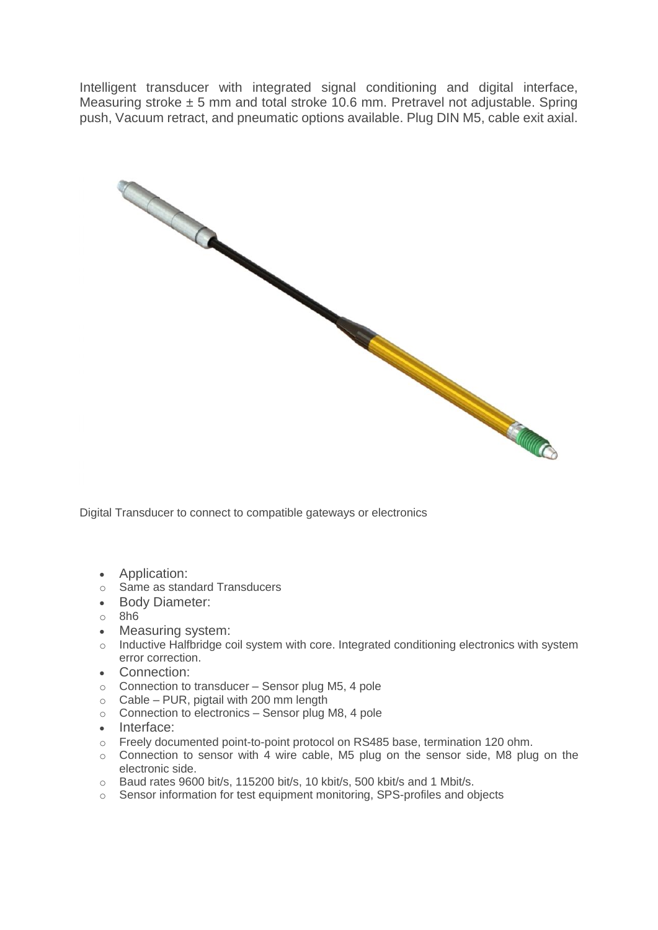Intelligent transducer with integrated signal conditioning and digital interface, Measuring stroke  $\pm$  5 mm and total stroke 10.6 mm. Pretravel not adjustable. Spring push, Vacuum retract, and pneumatic options available. Plug DIN M5, cable exit axial.



Digital Transducer to connect to compatible gateways or electronics

- Application:
- o Same as standard Transducers
- Body Diameter:
- o 8h6
- Measuring system:
- o Inductive Halfbridge coil system with core. Integrated conditioning electronics with system error correction.
- Connection:
- $\circ$  Connection to transducer Sensor plug M5, 4 pole
- $\circ$  Cable PUR, pigtail with 200 mm length
- o Connection to electronics Sensor plug M8, 4 pole
- Interface:
- o Freely documented point-to-point protocol on RS485 base, termination 120 ohm.
- o Connection to sensor with 4 wire cable, M5 plug on the sensor side, M8 plug on the electronic side.
- o Baud rates 9600 bit/s, 115200 bit/s, 10 kbit/s, 500 kbit/s and 1 Mbit/s.
- o Sensor information for test equipment monitoring, SPS-profiles and objects